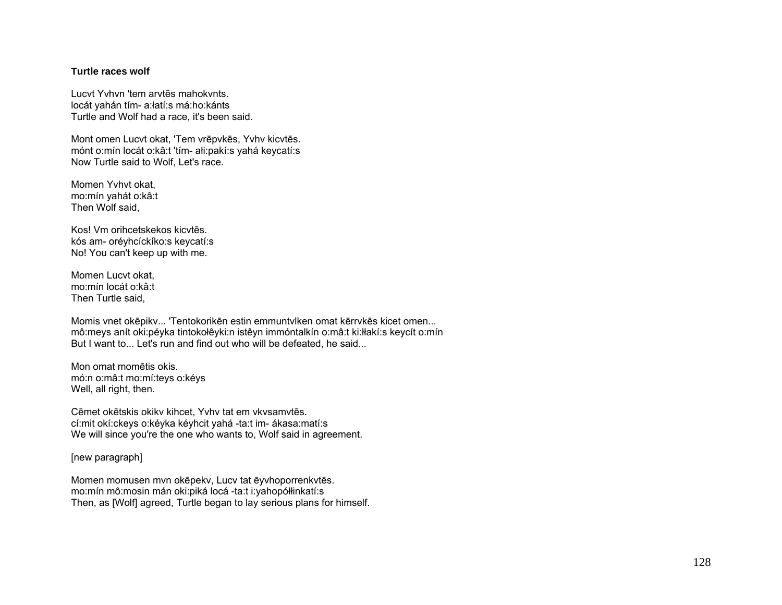## **Turtle races wolf**

Lucvt Yvhvn 'tem arvtēs mahokvnts. locát yahán tím- a:łatí:s má:ho:kánts Turtle and Wolf had a race, it's been said.

Mont omen Lucvt okat, 'Tem vrēpvkēs, Yvhv kicvtēs. mónt o:mín locát o:kâ:t 'tím- ałi:pakí:s yahá keycatí:s Now Turtle said to Wolf, Let's race.

Momen Yvhvt okat, mo:mín yahát o:kâ:t Then Wolf said,

Kos! Vm orihcetskekos kicvtēs. kós am- oréyhcíckíko:s keycatí:s No! You can't keep up with me.

Momen Lucvt okat, mo:mín locát o:kâ:t Then Turtle said,

Momis vnet okēpikv... 'Tentokorikēn estin emmuntvlken omat kērrvkēs kicet omen... mô:meys anít oki:péyka tintokołêyki:n istêyn immóntalkín o:mâ:t ki:łłakí:s keycít o:mín But I want to... Let's run and find out who will be defeated, he said...

Mon omat momētis okis. mó:n o:mâ:t mo:mí:teys o:kéys Well, all right, then.

Cēmet okētskis okikv kihcet, Yvhv tat em vkvsamvtēs. cí:mit okí:ckeys o:kéyka kéyhcit yahá -ta:t im- ákasa:matí:s We will since you're the one who wants to, Wolf said in agreement.

[new paragraph]

Momen momusen mvn okēpekv, Lucv tat ēyvhoporrenkvtēs. mo:mín mô:mosin mán oki:piká locá -ta:t i:yahopółłinkatí:s Then, as [Wolf] agreed, Turtle began to lay serious plans for himself.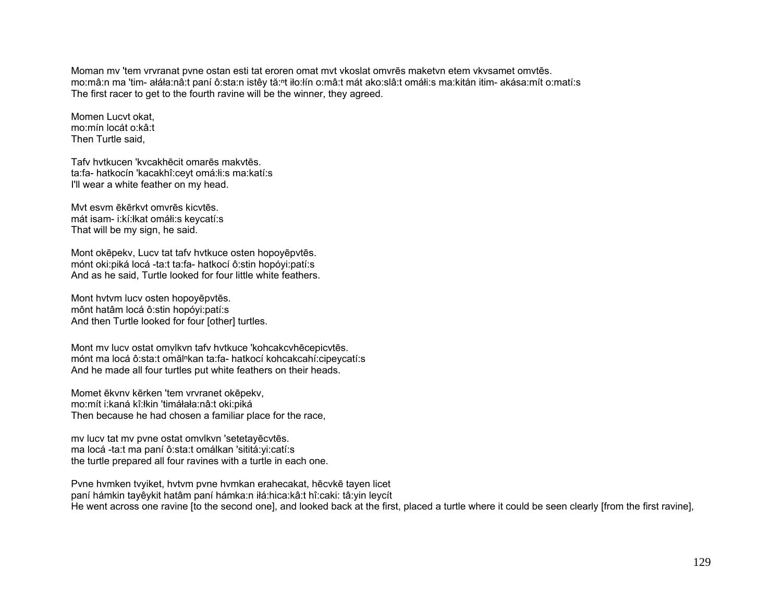Moman mv 'tem vrvranat pvne ostan esti tat eroren omat mvt vkoslat omvrēs maketvn etem vkvsamet omvtēs. mo:mâ:n ma 'tim- ałáła:nâ:t paní ô:sta:n istêy tă:<sup>ⁿ</sup>t iło:łín o:mâ:t mát ako:slâ:t omáłi:s ma:kitán itim- akása:mít o:matí:s The first racer to get to the fourth ravine will be the winner, they agreed.

Momen Lucvt okat, mo:mín locát o:kâ:t Then Turtle said,

Tafv hvtkucen 'kvcakhēcit omarēs makvtēs. ta:fa- hatkocín 'kacakhî:ceyt omá:łi:s ma:katí:s I'll wear a white feather on my head.

Mvt esvm ēkērkvt omvrēs kicvtēs. mát isam- i:kí:łkat omáłi:s keycatí:s That will be my sign, he said.

Mont okēpekv, Lucv tat tafv hvtkuce osten hopoyēpvtēs. mónt oki:piká locá -ta:t ta:fa- hatkocí ô:stin hopóyi:patí:s And as he said, Turtle looked for four little white feathers.

Mont hvtvm lucv osten hopoyēpvtēs. mônt hatâm locá ô:stin hopóyi:patí:s And then Turtle looked for four [other] turtles.

Mont mv lucv ostat omylkvn tafv hvtkuce 'kohcakcvhēcepicvtēs. mónt ma locá ô:sta:t omăl<sup>n</sup>kan ta:fa- hatkocí kohcakcahí:cipeycatí:s And he made all four turtles put white feathers on their heads.

Momet ēkvnv kērken 'tem vrvranet okēpekv, mo:mít i:kaná kî:łkin 'timáłała:nâ:t oki:piká Then because he had chosen a familiar place for the race,

mv lucv tat mv pvne ostat omvlkvn 'setetayēcvtēs. ma locá -ta:t ma paní ô:sta:t omálkan 'sititá:yi:catí:s the turtle prepared all four ravines with a turtle in each one.

Pvne hvmken tvyiket, hvtvm pvne hvmkan erahecakat, hēcvkē tayen licet paní hámkin tayêykit hatâm paní hámka:n iłá:hica:kâ:t hî:caki: tâ:yin leycít He went across one ravine [to the second one], and looked back at the first, placed a turtle where it could be seen clearly [from the first ravine],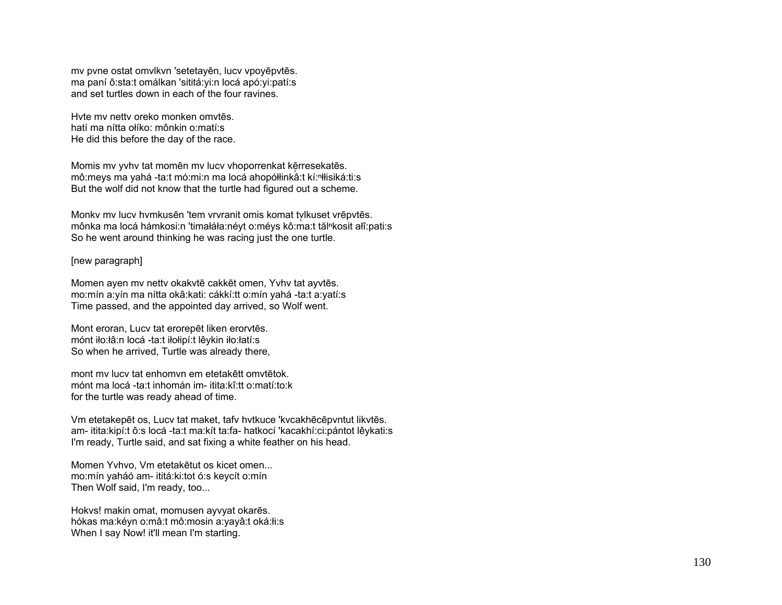mv pvne ostat omvlkvn 'setetayēn, lucv vpoyēpvtēs. ma paní ô:sta:t omálkan 'sititá:yi:n locá apó:yi:patí:s and set turtles down in each of the four ravines.

Hvte mv nettv oreko monken omvtēs. hatí ma nítta ołíko: mônkin o:matí:s He did this before the day of the race.

Momis my yyhy tat momēn my lucy vhoporrenkat kērresekatēs. mô:meys ma yahá -ta:t mó:mi:n ma locá ahopółłinkâ:t kí:<sup>n</sup>łłisiká:ti:s But the wolf did not know that the turtle had figured out a scheme.

Monkv mv lucv hvmkusēn 'tem vrvranit omis komat tv lkuset vrēpvtēs. ̜ mônka ma locá hámkosi:n 'timałáła:néyt o:méys kô:ma:t tălⁿkosit ałî:pati:s So he went around thinking he was racing just the one turtle.

## [new paragraph]

Momen ayen mv nettv okakvtē cakkēt omen, Yvhv tat ayvtēs. mo:mín a:yín ma nítta okâ:kati: cákkí:tt o:mín yahá -ta:t a:yatí:s Time passed, and the appointed day arrived, so Wolf went.

Mont eroran, Lucv tat erorepēt liken erorvtēs. mónt iło:łâ:n locá -ta:t iłołipí:t lêykin iło:łatí:s So when he arrived, Turtle was already there,

mont mv lucv tat enhomvn em etetakētt omvtētok. mónt ma locá -ta:t inhomán im- itita:kî:tt o:matí:to:k for the turtle was ready ahead of time.

Vm etetakepēt os, Lucv tat maket, tafv hvtkuce 'kvcakhēcēpvntut likvtēs. am- itita:kipí:t ô:s locá -ta:t ma:kít ta:fa- hatkocí 'kacakhí:ci:pántot lêykati:s I'm ready, Turtle said, and sat fixing a white feather on his head.

Momen Yvhvo, Vm etetakētut os kicet omen... mo:mín yaháó am- ititá:ki:tot ó:s keycít o:mín Then Wolf said, I'm ready, too...

Hokvs! makin omat, momusen ayvyat okarēs. hókas ma:kéyn o:mâ:t mô:mosin a:yayâ:t oká:łi:s When I say Now! it'll mean I'm starting.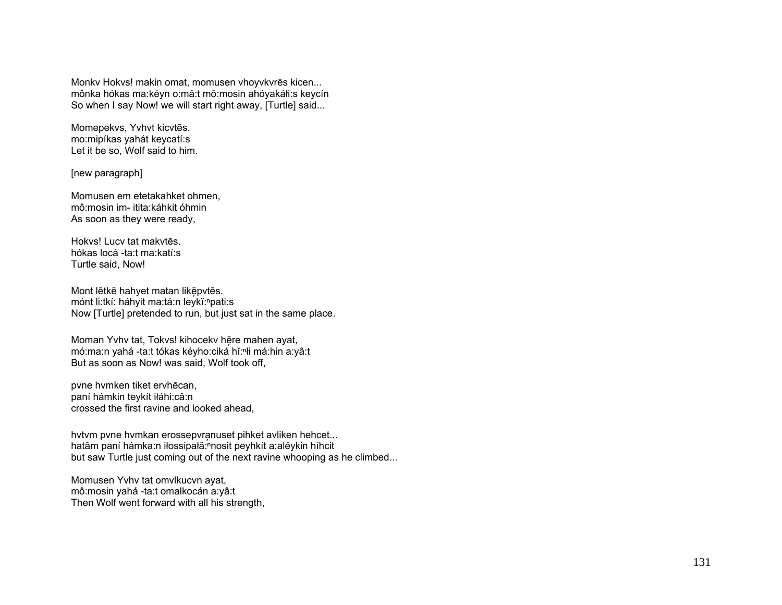Monkv Hokvs! makin omat, momusen vhoyvkvr ēs kicen... mônka hókas ma:kéyn o:mâ:t mô:mosin ahóyakáłi:s keycín So when I say Now! we will start right away, [Turtle] said...

Momepekvs, Yvhvt kicvt ēs. mo:mipíkas yahát keycatí:s Let it be so, Wolf said to him.

[new paragraph]

Momusen em etetakahket ohmen, mô:mosin im- itita:káhkit óhmin As soon as they were ready,

Hokvs! Lucv tat makvtēs. hókas locá -ta:t ma:katí:s Turtle said, Now!

Mont lētkē hahyet matan likēpvtēs. mónt li:tkí: háhyit ma:tá:n leykĭ:ʰpati:s Now [Turtle] pretended to run, but just sat in the same place.

Moman Yvhv tat, Tokvs! kihocekv hēre mahen ayat, mó:ma:n yahá -ta:t tókas kéyho:ciká hĭ:ⁿłi má:hin a:yâ:t But as soon as Now! was said, Wolf took off,

pvne hvmken tiket ervh ēcan, paní hámkin teykít iłáhi:câ:n crossed the first ravine and looked ahead,

hvtvm pvne hvmkan erossepvranuset pihket avliken hehcet... hatâm paní hámka:n iłossipałă: nosit peyhkít a:alêykin híhcit but saw Turtle just coming out of the next ravine whooping as he climbed...

Momusen Yvhv tat omvlkucvn ayat, mô:mosin yahá -ta:t omalkocán a:yâ:t Then Wolf went forward with all his strength,